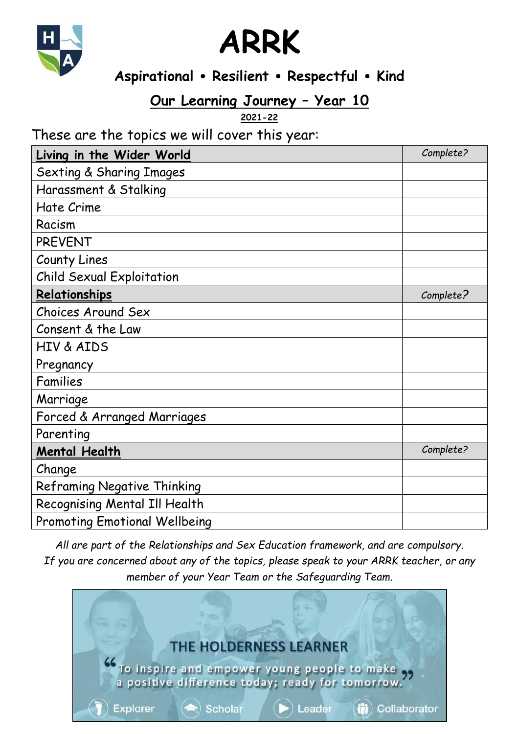



## **Aspirational Resilient Respectful Kind**

# **Our Learning Journey – Year 10**

**2021-22**

### These are the topics we will cover this year:

| Living in the Wider World            | Complete? |
|--------------------------------------|-----------|
| <b>Sexting &amp; Sharing Images</b>  |           |
| Harassment & Stalking                |           |
| Hate Crime                           |           |
| Racism                               |           |
| <b>PREVENT</b>                       |           |
| County Lines                         |           |
| <b>Child Sexual Exploitation</b>     |           |
| Relationships                        | Complete? |
| Choices Around Sex                   |           |
| Consent & the Law                    |           |
| <b>HIV &amp; AIDS</b>                |           |
| Pregnancy                            |           |
| Families                             |           |
| Marriage                             |           |
| Forced & Arranged Marriages          |           |
| Parenting                            |           |
| <b>Mental Health</b>                 | Complete? |
| Change                               |           |
| <b>Reframing Negative Thinking</b>   |           |
| Recognising Mental Ill Health        |           |
| <b>Promoting Emotional Wellbeing</b> |           |

*All are part of the Relationships and Sex Education framework, and are compulsory. If you are concerned about any of the topics, please speak to your ARRK teacher, or any member of your Year Team or the Safeguarding Team.*